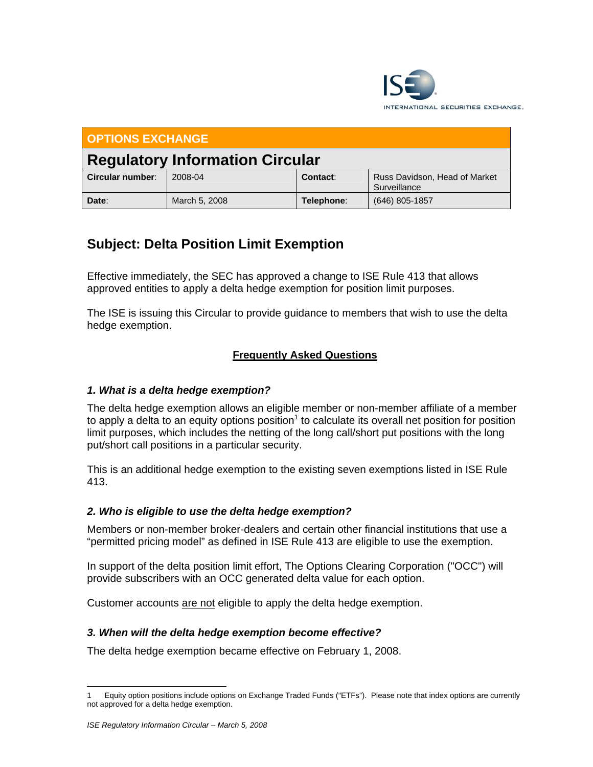

| <b>OPTIONS EXCHANGE</b>                |               |            |                                               |
|----------------------------------------|---------------|------------|-----------------------------------------------|
| <b>Regulatory Information Circular</b> |               |            |                                               |
| Circular number:                       | 2008-04       | Contact:   | Russ Davidson, Head of Market<br>Surveillance |
| Date:                                  | March 5, 2008 | Telephone: | (646) 805-1857                                |

# **Subject: Delta Position Limit Exemption**

Effective immediately, the SEC has approved a change to ISE Rule 413 that allows approved entities to apply a delta hedge exemption for position limit purposes.

The ISE is issuing this Circular to provide guidance to members that wish to use the delta hedge exemption.

# **Frequently Asked Questions**

# *1. What is a delta hedge exemption?*

The delta hedge exemption allows an eligible member or non-member affiliate of a member to apply a delta to an equity options position<sup>1</sup> to calculate its overall net position for position limit purposes, which includes the netting of the long call/short put positions with the long put/short call positions in a particular security.

This is an additional hedge exemption to the existing seven exemptions listed in ISE Rule 413.

## *2. Who is eligible to use the delta hedge exemption?*

Members or non-member broker-dealers and certain other financial institutions that use a "permitted pricing model" as defined in ISE Rule 413 are eligible to use the exemption.

In support of the delta position limit effort, The Options Clearing Corporation ("OCC") will provide subscribers with an OCC generated delta value for each option.

Customer accounts are not eligible to apply the delta hedge exemption.

## *3. When will the delta hedge exemption become effective?*

The delta hedge exemption became effective on February 1, 2008.

 $\overline{a}$ 1 Equity option positions include options on Exchange Traded Funds ("ETFs"). Please note that index options are currently not approved for a delta hedge exemption.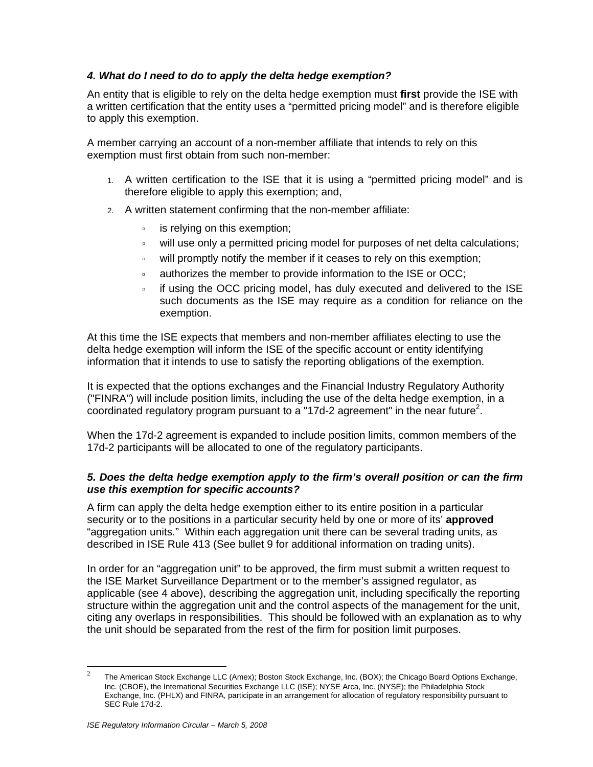## *4. What do I need to do to apply the delta hedge exemption?*

An entity that is eligible to rely on the delta hedge exemption must **first** provide the ISE with a written certification that the entity uses a "permitted pricing model" and is therefore eligible to apply this exemption.

A member carrying an account of a non-member affiliate that intends to rely on this exemption must first obtain from such non-member:

- 1. A written certification to the ISE that it is using a "permitted pricing model" and is therefore eligible to apply this exemption; and,
- 2. A written statement confirming that the non-member affiliate:
	- **is relying on this exemption;**
	- à will use only a permitted pricing model for purposes of net delta calculations;
	- à will promptly notify the member if it ceases to rely on this exemption;
	- à authorizes the member to provide information to the ISE or OCC;
	- à if using the OCC pricing model, has duly executed and delivered to the ISE such documents as the ISE may require as a condition for reliance on the exemption.

At this time the ISE expects that members and non-member affiliates electing to use the delta hedge exemption will inform the ISE of the specific account or entity identifying information that it intends to use to satisfy the reporting obligations of the exemption.

It is expected that the options exchanges and the Financial Industry Regulatory Authority ("FINRA") will include position limits, including the use of the delta hedge exemption, in a coordinated regulatory program pursuant to a "17d-2 agreement" in the near future<sup>2</sup>.

When the 17d-2 agreement is expanded to include position limits, common members of the 17d-2 participants will be allocated to one of the regulatory participants.

#### *5. Does the delta hedge exemption apply to the firm's overall position or can the firm use this exemption for specific accounts?*

A firm can apply the delta hedge exemption either to its entire position in a particular security or to the positions in a particular security held by one or more of its' **approved** "aggregation units." Within each aggregation unit there can be several trading units, as described in ISE Rule 413 (See bullet 9 for additional information on trading units).

In order for an "aggregation unit" to be approved, the firm must submit a written request to the ISE Market Surveillance Department or to the member's assigned regulator, as applicable (see 4 above), describing the aggregation unit, including specifically the reporting structure within the aggregation unit and the control aspects of the management for the unit, citing any overlaps in responsibilities. This should be followed with an explanation as to why the unit should be separated from the rest of the firm for position limit purposes.

<sup>&</sup>lt;sup>2</sup> The American Stock Exchange LLC (Amex); Boston Stock Exchange, Inc. (BOX); the Chicago Board Options Exchange, Inc. (CBOE), the International Securities Exchange LLC (ISE); NYSE Arca, Inc. (NYSE); the Philadelphia Stock Exchange, Inc. (PHLX) and FINRA, participate in an arrangement for allocation of regulatory responsibility pursuant to SEC Rule 17d-2.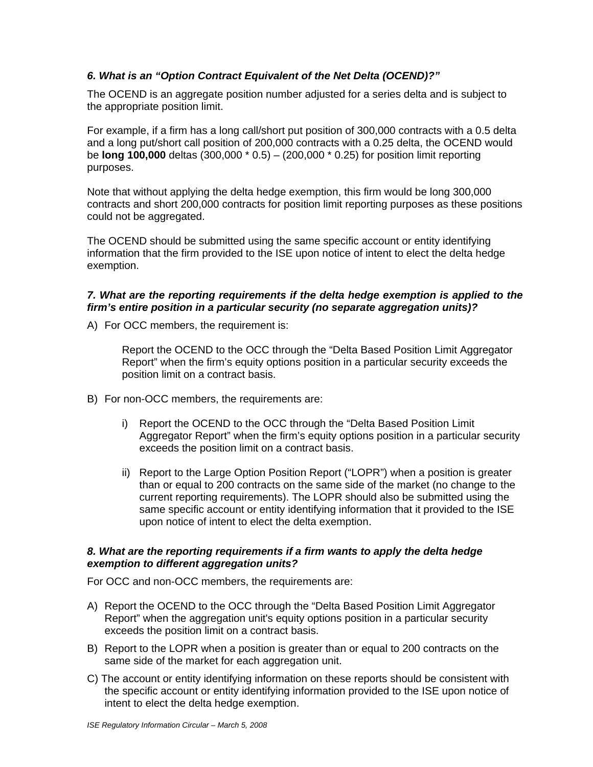## *6. What is an "Option Contract Equivalent of the Net Delta (OCEND)?"*

The OCEND is an aggregate position number adjusted for a series delta and is subject to the appropriate position limit.

For example, if a firm has a long call/short put position of 300,000 contracts with a 0.5 delta and a long put/short call position of 200,000 contracts with a 0.25 delta, the OCEND would be **long 100,000** deltas (300,000 \* 0.5) – (200,000 \* 0.25) for position limit reporting purposes.

Note that without applying the delta hedge exemption, this firm would be long 300,000 contracts and short 200,000 contracts for position limit reporting purposes as these positions could not be aggregated.

The OCEND should be submitted using the same specific account or entity identifying information that the firm provided to the ISE upon notice of intent to elect the delta hedge exemption.

#### *7. What are the reporting requirements if the delta hedge exemption is applied to the firm's entire position in a particular security (no separate aggregation units)?*

A) For OCC members, the requirement is:

Report the OCEND to the OCC through the "Delta Based Position Limit Aggregator Report" when the firm's equity options position in a particular security exceeds the position limit on a contract basis.

- B) For non-OCC members, the requirements are:
	- i) Report the OCEND to the OCC through the "Delta Based Position Limit Aggregator Report" when the firm's equity options position in a particular security exceeds the position limit on a contract basis.
	- ii) Report to the Large Option Position Report ("LOPR") when a position is greater than or equal to 200 contracts on the same side of the market (no change to the current reporting requirements). The LOPR should also be submitted using the same specific account or entity identifying information that it provided to the ISE upon notice of intent to elect the delta exemption.

## *8. What are the reporting requirements if a firm wants to apply the delta hedge exemption to different aggregation units?*

For OCC and non-OCC members, the requirements are:

- A) Report the OCEND to the OCC through the "Delta Based Position Limit Aggregator Report" when the aggregation unit's equity options position in a particular security exceeds the position limit on a contract basis.
- B) Report to the LOPR when a position is greater than or equal to 200 contracts on the same side of the market for each aggregation unit.
- C) The account or entity identifying information on these reports should be consistent with the specific account or entity identifying information provided to the ISE upon notice of intent to elect the delta hedge exemption.